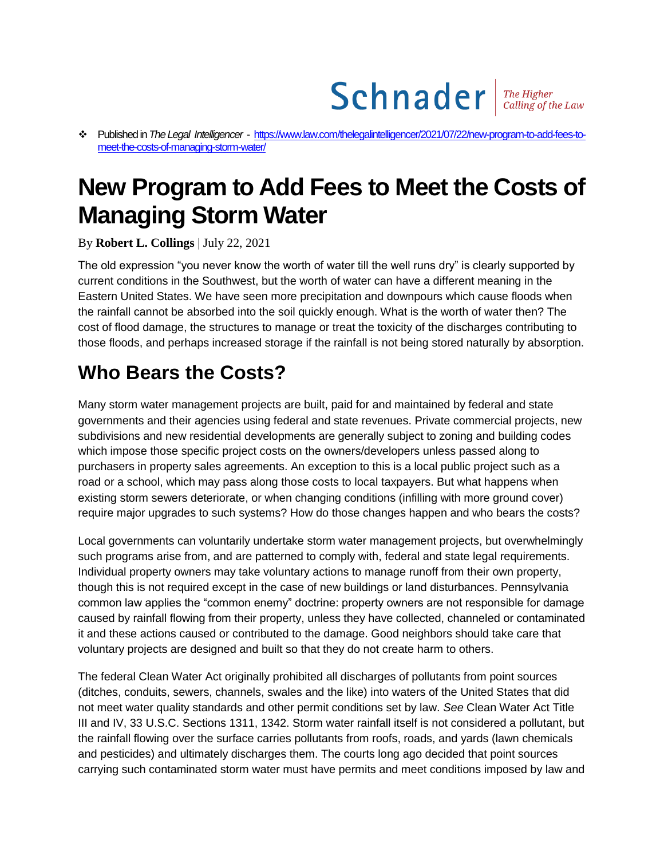Published in *The Legal Intelligencer* - [https://www.law.com/thelegalintelligencer/2021/07/22/new-program-to-add-fees-to](https://www.law.com/thelegalintelligencer/2021/07/22/new-program-to-add-fees-to-meet-the-costs-of-managing-storm-water/)[meet-the-costs-of-managing-storm-water/](https://www.law.com/thelegalintelligencer/2021/07/22/new-program-to-add-fees-to-meet-the-costs-of-managing-storm-water/)

## **New Program to Add Fees to Meet the Costs of Managing Storm Water**

By **Robert L. Collings** | July 22, 2021

The old expression "you never know the worth of water till the well runs dry" is clearly supported by current conditions in the Southwest, but the worth of water can have a different meaning in the Eastern United States. We have seen more precipitation and downpours which cause floods when the rainfall cannot be absorbed into the soil quickly enough. What is the worth of water then? The cost of flood damage, the structures to manage or treat the toxicity of the discharges contributing to those floods, and perhaps increased storage if the rainfall is not being stored naturally by absorption.

## **Who Bears the Costs?**

Many storm water management projects are built, paid for and maintained by federal and state governments and their agencies using federal and state revenues. Private commercial projects, new subdivisions and new residential developments are generally subject to zoning and building codes which impose those specific project costs on the owners/developers unless passed along to purchasers in property sales agreements. An exception to this is a local public project such as a road or a school, which may pass along those costs to local taxpayers. But what happens when existing storm sewers deteriorate, or when changing conditions (infilling with more ground cover) require major upgrades to such systems? How do those changes happen and who bears the costs?

Local governments can voluntarily undertake storm water management projects, but overwhelmingly such programs arise from, and are patterned to comply with, federal and state legal requirements. Individual property owners may take voluntary actions to manage runoff from their own property, though this is not required except in the case of new buildings or land disturbances. Pennsylvania common law applies the "common enemy" doctrine: property owners are not responsible for damage caused by rainfall flowing from their property, unless they have collected, channeled or contaminated it and these actions caused or contributed to the damage. Good neighbors should take care that voluntary projects are designed and built so that they do not create harm to others.

The federal Clean Water Act originally prohibited all discharges of pollutants from point sources (ditches, conduits, sewers, channels, swales and the like) into waters of the United States that did not meet water quality standards and other permit conditions set by law. *See* Clean Water Act Title III and IV, 33 U.S.C. Sections 1311, 1342. Storm water rainfall itself is not considered a pollutant, but the rainfall flowing over the surface carries pollutants from roofs, roads, and yards (lawn chemicals and pesticides) and ultimately discharges them. The courts long ago decided that point sources carrying such contaminated storm water must have permits and meet conditions imposed by law and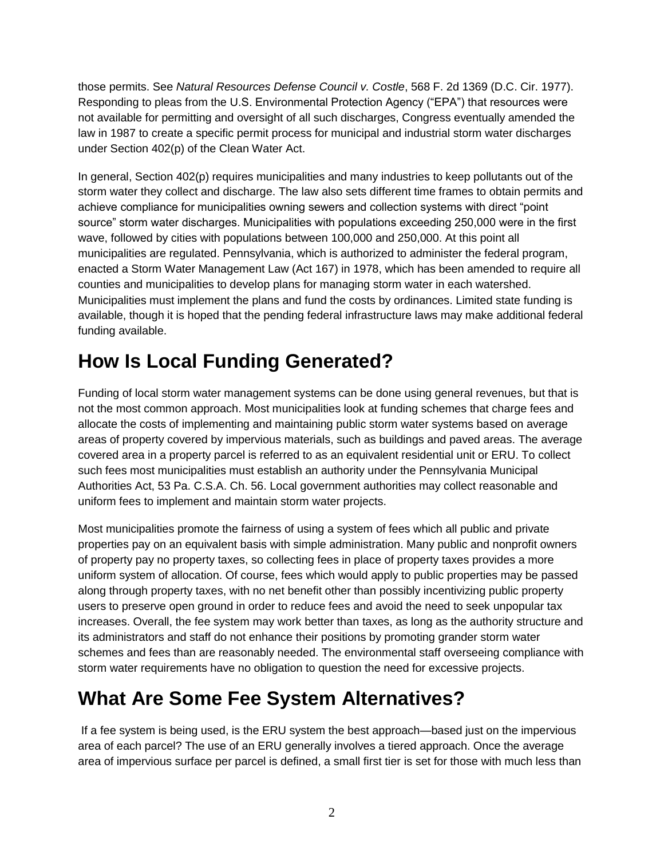those permits. See *Natural Resources Defense Council v. Costle*, 568 F. 2d 1369 (D.C. Cir. 1977). Responding to pleas from the U.S. Environmental Protection Agency ("EPA") that resources were not available for permitting and oversight of all such discharges, Congress eventually amended the law in 1987 to create a specific permit process for municipal and industrial storm water discharges under Section 402(p) of the Clean Water Act.

In general, Section 402(p) requires municipalities and many industries to keep pollutants out of the storm water they collect and discharge. The law also sets different time frames to obtain permits and achieve compliance for municipalities owning sewers and collection systems with direct "point source" storm water discharges. Municipalities with populations exceeding 250,000 were in the first wave, followed by cities with populations between 100,000 and 250,000. At this point all municipalities are regulated. Pennsylvania, which is authorized to administer the federal program, enacted a Storm Water Management Law (Act 167) in 1978, which has been amended to require all counties and municipalities to develop plans for managing storm water in each watershed. Municipalities must implement the plans and fund the costs by ordinances. Limited state funding is available, though it is hoped that the pending federal infrastructure laws may make additional federal funding available.

## **How Is Local Funding Generated?**

Funding of local storm water management systems can be done using general revenues, but that is not the most common approach. Most municipalities look at funding schemes that charge fees and allocate the costs of implementing and maintaining public storm water systems based on average areas of property covered by impervious materials, such as buildings and paved areas. The average covered area in a property parcel is referred to as an equivalent residential unit or ERU. To collect such fees most municipalities must establish an authority under the Pennsylvania Municipal Authorities Act, 53 Pa. C.S.A. Ch. 56. Local government authorities may collect reasonable and uniform fees to implement and maintain storm water projects.

Most municipalities promote the fairness of using a system of fees which all public and private properties pay on an equivalent basis with simple administration. Many public and nonprofit owners of property pay no property taxes, so collecting fees in place of property taxes provides a more uniform system of allocation. Of course, fees which would apply to public properties may be passed along through property taxes, with no net benefit other than possibly incentivizing public property users to preserve open ground in order to reduce fees and avoid the need to seek unpopular tax increases. Overall, the fee system may work better than taxes, as long as the authority structure and its administrators and staff do not enhance their positions by promoting grander storm water schemes and fees than are reasonably needed. The environmental staff overseeing compliance with storm water requirements have no obligation to question the need for excessive projects.

## **What Are Some Fee System Alternatives?**

If a fee system is being used, is the ERU system the best approach—based just on the impervious area of each parcel? The use of an ERU generally involves a tiered approach. Once the average area of impervious surface per parcel is defined, a small first tier is set for those with much less than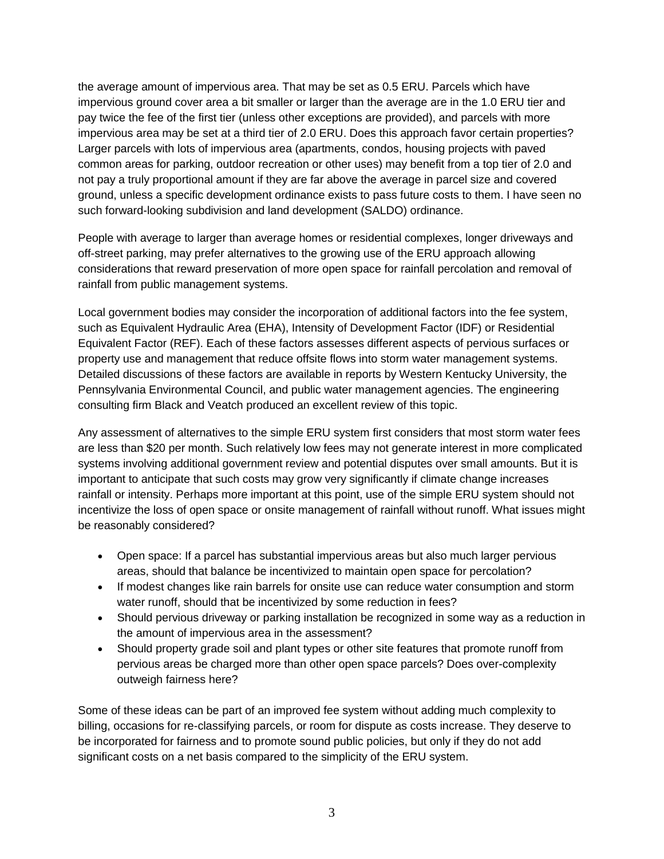the average amount of impervious area. That may be set as 0.5 ERU. Parcels which have impervious ground cover area a bit smaller or larger than the average are in the 1.0 ERU tier and pay twice the fee of the first tier (unless other exceptions are provided), and parcels with more impervious area may be set at a third tier of 2.0 ERU. Does this approach favor certain properties? Larger parcels with lots of impervious area (apartments, condos, housing projects with paved common areas for parking, outdoor recreation or other uses) may benefit from a top tier of 2.0 and not pay a truly proportional amount if they are far above the average in parcel size and covered ground, unless a specific development ordinance exists to pass future costs to them. I have seen no such forward-looking subdivision and land development (SALDO) ordinance.

People with average to larger than average homes or residential complexes, longer driveways and off-street parking, may prefer alternatives to the growing use of the ERU approach allowing considerations that reward preservation of more open space for rainfall percolation and removal of rainfall from public management systems.

Local government bodies may consider the incorporation of additional factors into the fee system, such as Equivalent Hydraulic Area (EHA), Intensity of Development Factor (IDF) or Residential Equivalent Factor (REF). Each of these factors assesses different aspects of pervious surfaces or property use and management that reduce offsite flows into storm water management systems. Detailed discussions of these factors are available in reports by Western Kentucky University, the Pennsylvania Environmental Council, and public water management agencies. The engineering consulting firm Black and Veatch produced an excellent review of this topic.

Any assessment of alternatives to the simple ERU system first considers that most storm water fees are less than \$20 per month. Such relatively low fees may not generate interest in more complicated systems involving additional government review and potential disputes over small amounts. But it is important to anticipate that such costs may grow very significantly if climate change increases rainfall or intensity. Perhaps more important at this point, use of the simple ERU system should not incentivize the loss of open space or onsite management of rainfall without runoff. What issues might be reasonably considered?

- Open space: If a parcel has substantial impervious areas but also much larger pervious areas, should that balance be incentivized to maintain open space for percolation?
- If modest changes like rain barrels for onsite use can reduce water consumption and storm water runoff, should that be incentivized by some reduction in fees?
- Should pervious driveway or parking installation be recognized in some way as a reduction in the amount of impervious area in the assessment?
- Should property grade soil and plant types or other site features that promote runoff from pervious areas be charged more than other open space parcels? Does over-complexity outweigh fairness here?

Some of these ideas can be part of an improved fee system without adding much complexity to billing, occasions for re-classifying parcels, or room for dispute as costs increase. They deserve to be incorporated for fairness and to promote sound public policies, but only if they do not add significant costs on a net basis compared to the simplicity of the ERU system.